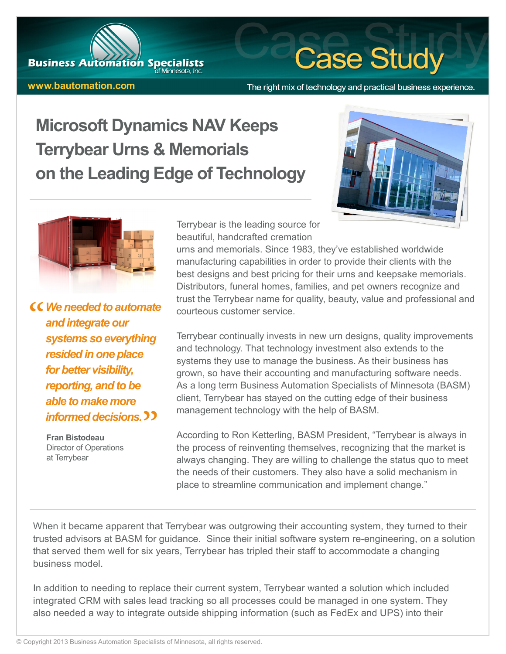## **www.bautomation.com**

**Business Automation Specialists** 

### The right mix of technology and practical business experience.

**Case Study** 

# **Microsoft Dynamics NAV Keeps Terrybear Urns & Memorials on the Leading Edge of Technology**





*We needed to automate and integrate our systems so everything resided in one place for better visibility, reporting, and to be able to make more informed decisions.*

> **Fran Bistodeau** Director of Operations at Terrybear

Terrybear is the leading source for beautiful, handcrafted cremation

urns and memorials. Since 1983, they've established worldwide manufacturing capabilities in order to provide their clients with the best designs and best pricing for their urns and keepsake memorials. Distributors, funeral homes, families, and pet owners recognize and trust the Terrybear name for quality, beauty, value and professional and courteous customer service.

Terrybear continually invests in new urn designs, quality improvements and technology. That technology investment also extends to the systems they use to manage the business. As their business has grown, so have their accounting and manufacturing software needs. As a long term Business Automation Specialists of Minnesota (BASM) client, Terrybear has stayed on the cutting edge of their business management technology with the help of BASM.

According to Ron Ketterling, BASM President, "Terrybear is always in the process of reinventing themselves, recognizing that the market is always changing. They are willing to challenge the status quo to meet the needs of their customers. They also have a solid mechanism in place to streamline communication and implement change."

When it became apparent that Terrybear was outgrowing their accounting system, they turned to their trusted advisors at BASM for guidance. Since their initial software system re-engineering, on a solution that served them well for six years, Terrybear has tripled their staff to accommodate a changing business model.

In addition to needing to replace their current system, Terrybear wanted a solution which included integrated CRM with sales lead tracking so all processes could be managed in one system. They also needed a way to integrate outside shipping information (such as FedEx and UPS) into their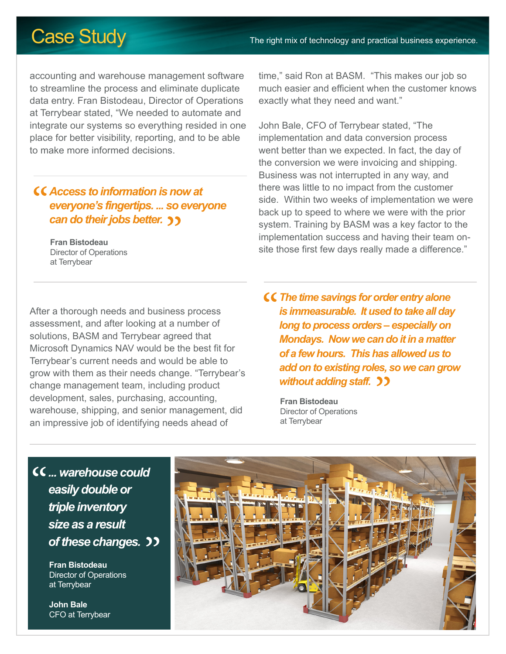# Case Study The right mix of technology and practical business experience.

accounting and warehouse management software to streamline the process and eliminate duplicate data entry. Fran Bistodeau, Director of Operations at Terrybear stated, "We needed to automate and integrate our systems so everything resided in one place for better visibility, reporting, and to be able to make more informed decisions.

## *Access to information is now at everyone's fingertips. ... so everyone can do their jobs better.*

**Fran Bistodeau** Director of Operations at Terrybear

time," said Ron at BASM. "This makes our job so much easier and efficient when the customer knows exactly what they need and want."

John Bale, CFO of Terrybear stated, "The implementation and data conversion process went better than we expected. In fact, the day of the conversion we were invoicing and shipping. Business was not interrupted in any way, and there was little to no impact from the customer side. Within two weeks of implementation we were back up to speed to where we were with the prior system. Training by BASM was a key factor to the implementation success and having their team onsite those first few days really made a difference."

After a thorough needs and business process assessment, and after looking at a number of solutions, BASM and Terrybear agreed that Microsoft Dynamics NAV would be the best fit for Terrybear's current needs and would be able to grow with them as their needs change. "Terrybear's change management team, including product development, sales, purchasing, accounting, warehouse, shipping, and senior management, did an impressive job of identifying needs ahead of

*The time savings for order entry alone is immeasurable. It used to take all day long to process orders – especially on Mondays. Now we can do it in a matter of a few hours. This has allowed us to add on to existing roles, so we can grow without adding staff.*

**Fran Bistodeau** Director of Operations at Terrybear

*... warehouse could easily double or triple inventory size as a result of these changes.*

> **Fran Bistodeau** Director of Operations at Terrybear

**John Bale** CFO at Terrybear

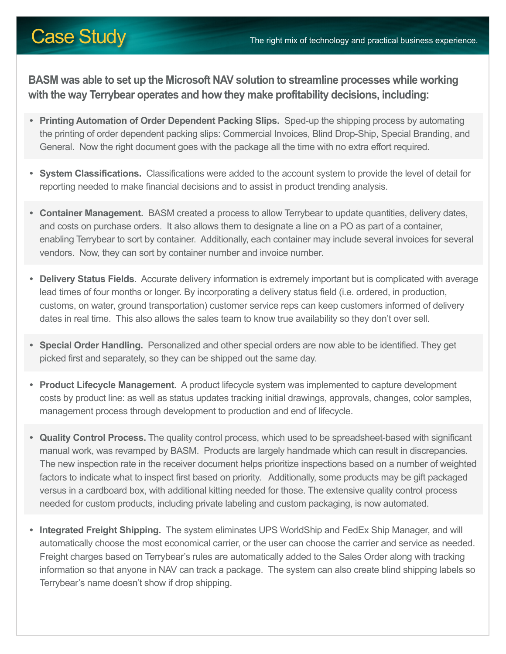**BASM was able to set up the Microsoft NAV solution to streamline processes while working with the way Terrybear operates and how they make profitability decisions, including:**

- **• Printing Automation of Order Dependent Packing Slips.** Sped-up the shipping process by automating the printing of order dependent packing slips: Commercial Invoices, Blind Drop-Ship, Special Branding, and General. Now the right document goes with the package all the time with no extra effort required.
- **• System Classifications.** Classifications were added to the account system to provide the level of detail for reporting needed to make financial decisions and to assist in product trending analysis.
- **• Container Management.** BASM created a process to allow Terrybear to update quantities, delivery dates, and costs on purchase orders. It also allows them to designate a line on a PO as part of a container, enabling Terrybear to sort by container. Additionally, each container may include several invoices for several vendors. Now, they can sort by container number and invoice number.
- **• Delivery Status Fields.** Accurate delivery information is extremely important but is complicated with average lead times of four months or longer. By incorporating a delivery status field (i.e. ordered, in production, customs, on water, ground transportation) customer service reps can keep customers informed of delivery dates in real time. This also allows the sales team to know true availability so they don't over sell.
- **• Special Order Handling.** Personalized and other special orders are now able to be identified. They get picked first and separately, so they can be shipped out the same day.
- **• Product Lifecycle Management.** A product lifecycle system was implemented to capture development costs by product line: as well as status updates tracking initial drawings, approvals, changes, color samples, management process through development to production and end of lifecycle.
- **• Quality Control Process.** The quality control process, which used to be spreadsheet-based with significant manual work, was revamped by BASM. Products are largely handmade which can result in discrepancies. The new inspection rate in the receiver document helps prioritize inspections based on a number of weighted factors to indicate what to inspect first based on priority. Additionally, some products may be gift packaged versus in a cardboard box, with additional kitting needed for those. The extensive quality control process needed for custom products, including private labeling and custom packaging, is now automated.
- **• Integrated Freight Shipping.** The system eliminates UPS WorldShip and FedEx Ship Manager, and will automatically choose the most economical carrier, or the user can choose the carrier and service as needed. Freight charges based on Terrybear's rules are automatically added to the Sales Order along with tracking information so that anyone in NAV can track a package. The system can also create blind shipping labels so Terrybear's name doesn't show if drop shipping.